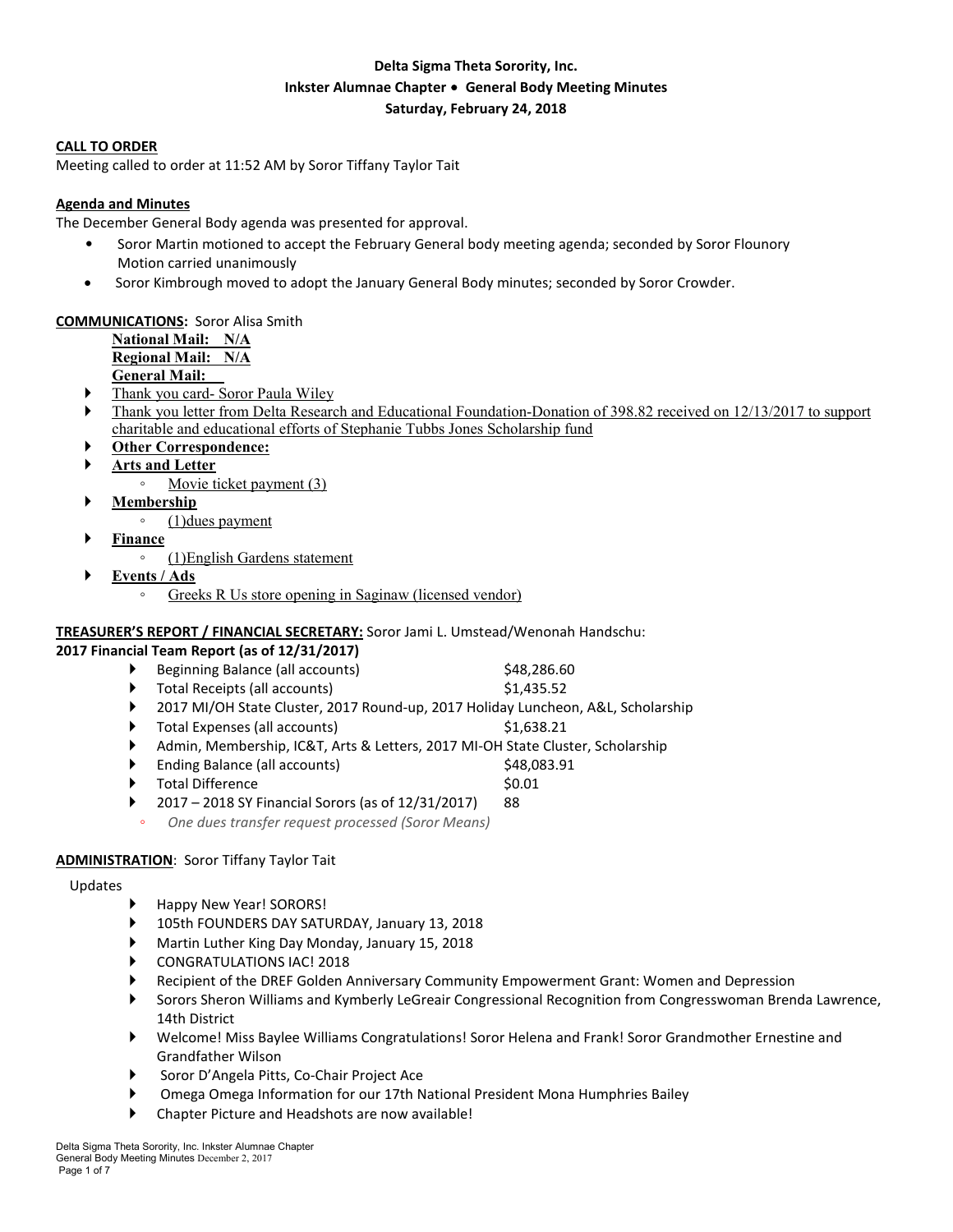# **Delta Sigma Theta Sorority, Inc. Inkster Alumnae Chapter** ∙ **General Body Meeting Minutes Saturday, February 24, 2018**

#### **CALL TO ORDER**

Meeting called to order at 11:52 AM by Soror Tiffany Taylor Tait

### **Agenda and Minutes**

The December General Body agenda was presented for approval.

- Soror Martin motioned to accept the February General body meeting agenda; seconded by Soror Flounory Motion carried unanimously
- Soror Kimbrough moved to adopt the January General Body minutes; seconded by Soror Crowder.

#### **COMMUNICATIONS:** Soror Alisa Smith

**National Mail: N/A Regional Mail: N/A General Mail:** 

- Thank you card- Soror Paula Wiley
- Thank you letter from Delta Research and Educational Foundation-Donation of 398.82 received on 12/13/2017 to support charitable and educational efforts of Stephanie Tubbs Jones Scholarship fund
- **Other Correspondence:**
- **Arts and Letter** 
	- Movie ticket payment (3)
- **Membership**
	- (1)dues payment
- **Finance**
	- (1)English Gardens statement
- **Events / Ads**
	- Greeks R Us store opening in Saginaw (licensed vendor)

### **TREASURER'S REPORT / FINANCIAL SECRETARY:** Soror Jami L. Umstead/Wenonah Handschu:

### **2017 Financial Team Report (as of 12/31/2017)**

| Beginning Balance (all accounts) | \$48,286.60 |
|----------------------------------|-------------|
| Total Receipts (all accounts)    | \$1,435.52  |

- 2017 MI/OH State Cluster, 2017 Round-up, 2017 Holiday Luncheon, A&L, Scholarship
- Total Expenses (all accounts)  $\qquad \qquad$  \$1,638.21
- Admin, Membership, IC&T, Arts & Letters, 2017 MI-OH State Cluster, Scholarship
- Ending Balance (all accounts)  $$48,083.91$
- Total Difference \$0.01
- 2017 2018 SY Financial Sorors (as of 12/31/2017) 88
	- *One dues transfer request processed (Soror Means)*

### **ADMINISTRATION**: Soror Tiffany Taylor Tait

#### Updates

- Happy New Year! SORORS!
- 105th FOUNDERS DAY SATURDAY, January 13, 2018
- Martin Luther King Day Monday, January 15, 2018
- CONGRATULATIONS IAC! 2018
- Recipient of the DREF Golden Anniversary Community Empowerment Grant: Women and Depression
- Sorors Sheron Williams and Kymberly LeGreair Congressional Recognition from Congresswoman Brenda Lawrence, 14th District
- Welcome! Miss Baylee Williams Congratulations! Soror Helena and Frank! Soror Grandmother Ernestine and Grandfather Wilson
- Soror D'Angela Pitts, Co-Chair Project Ace
- Omega Omega Information for our 17th National President Mona Humphries Bailey
- Chapter Picture and Headshots are now available!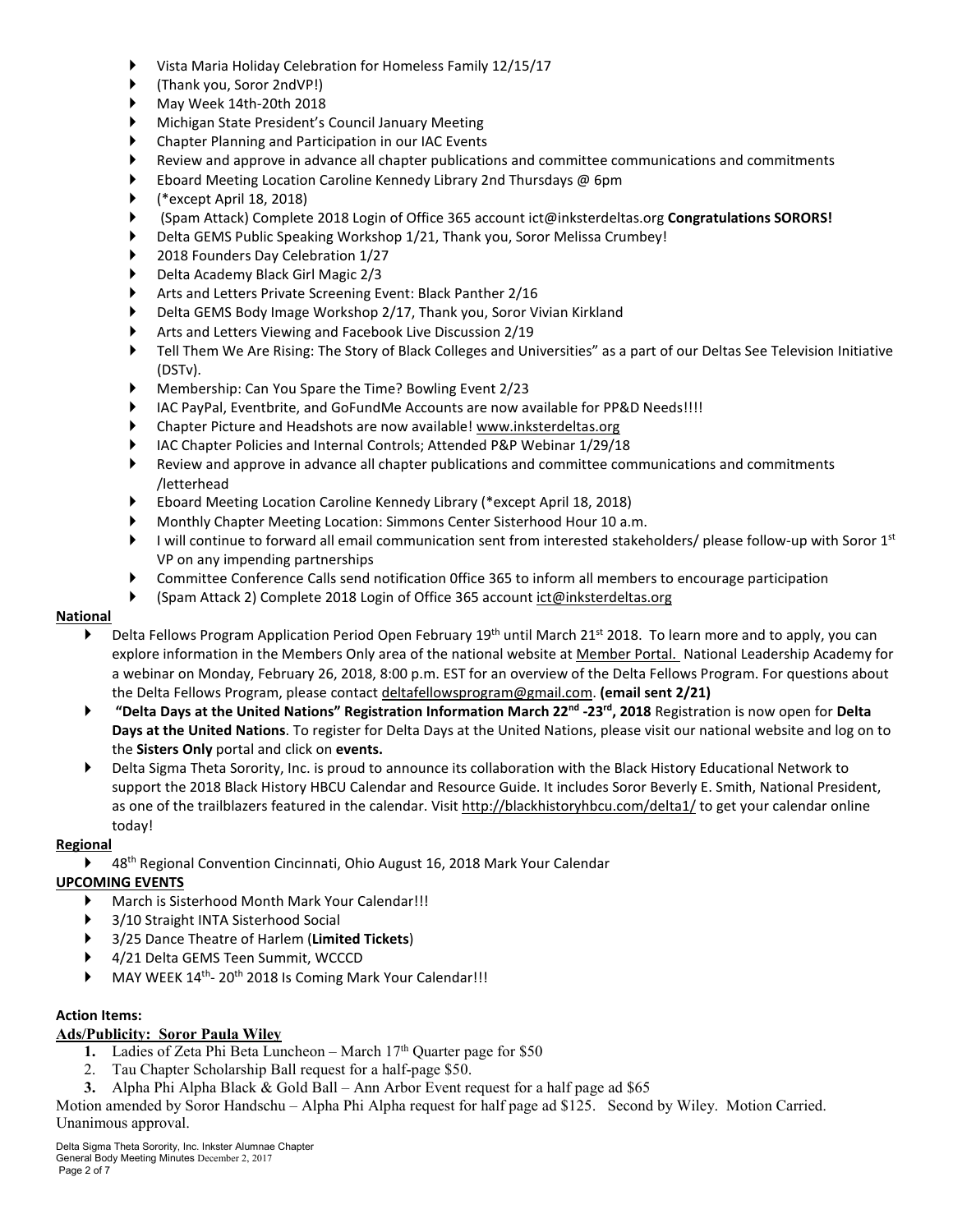- Vista Maria Holiday Celebration for Homeless Family 12/15/17
- (Thank you, Soror 2ndVP!)
- May Week 14th-20th 2018
- Michigan State President's Council January Meeting
- Chapter Planning and Participation in our IAC Events
- Review and approve in advance all chapter publications and committee communications and commitments
- Eboard Meeting Location Caroline Kennedy Library 2nd Thursdays @ 6pm
- (\*except April 18, 2018)
- (Spam Attack) Complete 2018 Login of Office 365 account ict@inksterdeltas.org **Congratulations SORORS!**
- Delta GEMS Public Speaking Workshop 1/21, Thank you, Soror Melissa Crumbey!
- 2018 Founders Day Celebration 1/27
- Delta Academy Black Girl Magic 2/3
- Arts and Letters Private Screening Event: Black Panther 2/16
- Delta GEMS Body Image Workshop 2/17, Thank you, Soror Vivian Kirkland
- Arts and Letters Viewing and Facebook Live Discussion 2/19
- Tell Them We Are Rising: The Story of Black Colleges and Universities" as a part of our Deltas See Television Initiative (DSTv).
- Membership: Can You Spare the Time? Bowling Event 2/23
- IAC PayPal, Eventbrite, and GoFundMe Accounts are now available for PP&D Needs!!!!
- Chapter Picture and Headshots are now available! www.inksterdeltas.org
- IAC Chapter Policies and Internal Controls; Attended P&P Webinar 1/29/18
- Review and approve in advance all chapter publications and committee communications and commitments /letterhead
- Eboard Meeting Location Caroline Kennedy Library (\*except April 18, 2018)
- Monthly Chapter Meeting Location: Simmons Center Sisterhood Hour 10 a.m.
- I will continue to forward all email communication sent from interested stakeholders/ please follow-up with Soror  $1^{st}$ VP on any impending partnerships
- Committee Conference Calls send notification 0ffice 365 to inform all members to encourage participation
- (Spam Attack 2) Complete 2018 Login of Office 365 account ict@inksterdeltas.org

### **National**

- $\blacktriangleright$  Delta Fellows Program Application Period Open February 19<sup>th</sup> until March 21<sup>st</sup> 2018. To learn more and to apply, you can explore information in the Members Only area of the national website at Member Portal. National Leadership Academy for a webinar on Monday, February 26, 2018, 8:00 p.m. EST for an overview of the Delta Fellows Program. For questions about the Delta Fellows Program, please contact deltafellowsprogram@gmail.com. **(email sent 2/21)**
- **"Delta Days at the United Nations" Registration Information March 22nd -23rd, 2018** Registration is now open for **Delta Days at the United Nations**. To register for Delta Days at the United Nations, please visit our national website and log on to the **Sisters Only** portal and click on **events.**
- Delta Sigma Theta Sorority, Inc. is proud to announce its collaboration with the Black History Educational Network to support the 2018 Black History HBCU Calendar and Resource Guide. It includes Soror Beverly E. Smith, National President, as one of the trailblazers featured in the calendar. Visit http://blackhistoryhbcu.com/delta1/ to get your calendar online today!

### **Regional**

▶ 48<sup>th</sup> Regional Convention Cincinnati, Ohio August 16, 2018 Mark Your Calendar

### **UPCOMING EVENTS**

- March is Sisterhood Month Mark Your Calendar!!!
- ▶ 3/10 Straight INTA Sisterhood Social
- 3/25 Dance Theatre of Harlem (**Limited Tickets**)
- 4/21 Delta GEMS Teen Summit, WCCCD
- MAY WEEK 14<sup>th</sup>- 20<sup>th</sup> 2018 Is Coming Mark Your Calendar!!!

### **Action Items:**

### **Ads/Publicity: Soror Paula Wiley**

- **1.** Ladies of Zeta Phi Beta Luncheon March  $17<sup>th</sup>$  Quarter page for \$50
- 2. Tau Chapter Scholarship Ball request for a half-page \$50.
- **3.** Alpha Phi Alpha Black & Gold Ball Ann Arbor Event request for a half page ad \$65

Motion amended by Soror Handschu – Alpha Phi Alpha request for half page ad \$125. Second by Wiley. Motion Carried. Unanimous approval.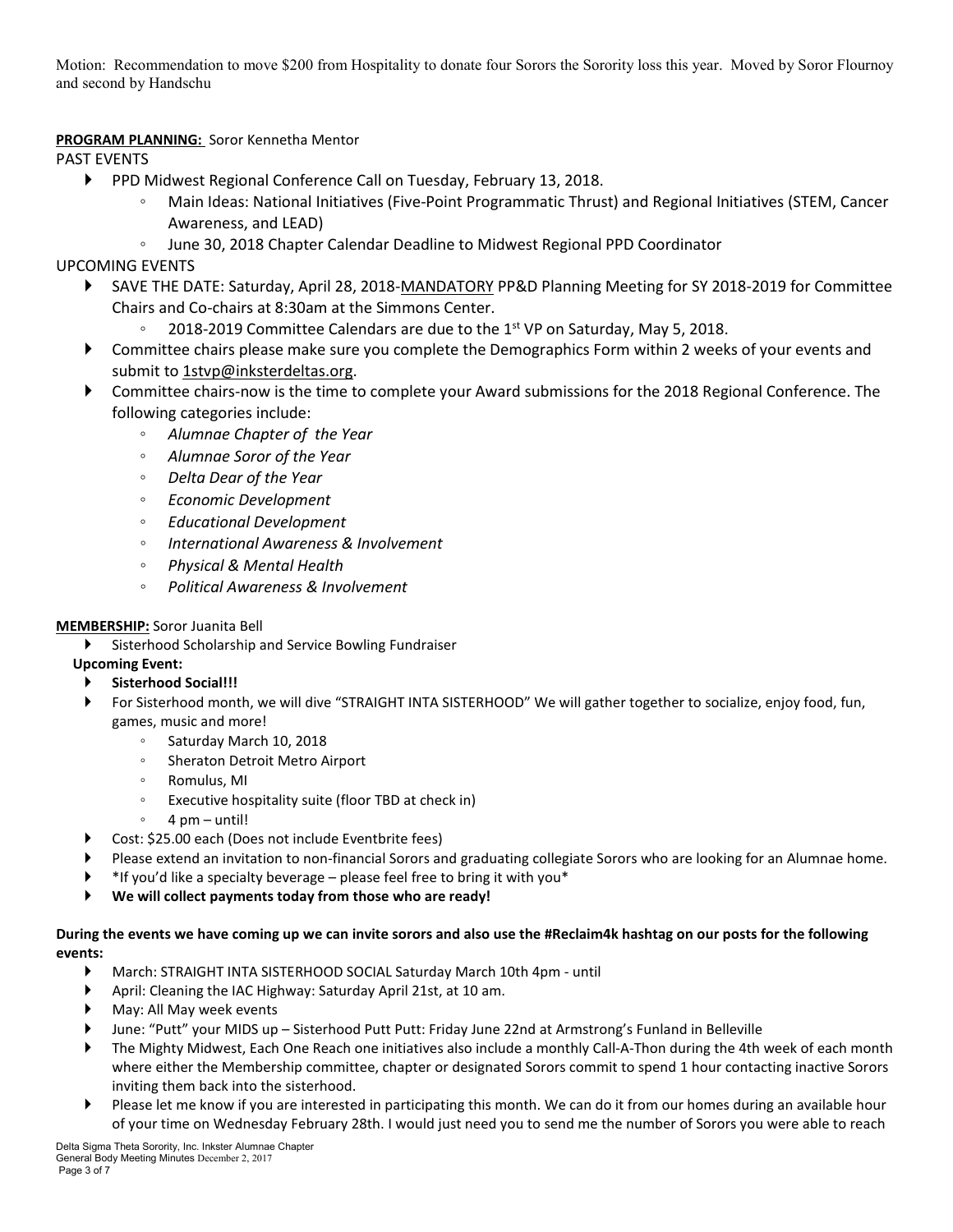Motion: Recommendation to move \$200 from Hospitality to donate four Sorors the Sorority loss this year. Moved by Soror Flournoy and second by Handschu

# **PROGRAM PLANNING:** Soror Kennetha Mentor

PAST EVENTS

- PPD Midwest Regional Conference Call on Tuesday, February 13, 2018.
	- Main Ideas: National Initiatives (Five-Point Programmatic Thrust) and Regional Initiatives (STEM, Cancer Awareness, and LEAD)
	- June 30, 2018 Chapter Calendar Deadline to Midwest Regional PPD Coordinator

# UPCOMING EVENTS

- SAVE THE DATE: Saturday, April 28, 2018-MANDATORY PP&D Planning Meeting for SY 2018-2019 for Committee Chairs and Co-chairs at 8:30am at the Simmons Center.
	- 2018-2019 Committee Calendars are due to the 1<sup>st</sup> VP on Saturday, May 5, 2018.
- Committee chairs please make sure you complete the Demographics Form within 2 weeks of your events and submit to 1stvp@inksterdeltas.org.
- Committee chairs-now is the time to complete your Award submissions for the 2018 Regional Conference. The following categories include:
	- *Alumnae Chapter of the Year*
	- *Alumnae Soror of the Year*
	- *Delta Dear of the Year*
	- *Economic Development*
	- *Educational Development*
	- *International Awareness & Involvement*
	- *Physical & Mental Health*
	- *Political Awareness & Involvement*

# **MEMBERSHIP:** Soror Juanita Bell

Sisterhood Scholarship and Service Bowling Fundraiser

# **Upcoming Event:**

- **Sisterhood Social!!!**
- For Sisterhood month, we will dive "STRAIGHT INTA SISTERHOOD" We will gather together to socialize, enjoy food, fun, games, music and more!
	- Saturday March 10, 2018
	- Sheraton Detroit Metro Airport
	- Romulus, MI
	- Executive hospitality suite (floor TBD at check in)
	- 4 pm until!
- ▶ Cost: \$25.00 each (Does not include Eventbrite fees)
- Please extend an invitation to non-financial Sorors and graduating collegiate Sorors who are looking for an Alumnae home.
- \*If you'd like a specialty beverage please feel free to bring it with you\*
- **We will collect payments today from those who are ready!**

### During the events we have coming up we can invite sorors and also use the #Reclaim4k hashtag on our posts for the following **events:**

- March: STRAIGHT INTA SISTERHOOD SOCIAL Saturday March 10th 4pm until
- April: Cleaning the IAC Highway: Saturday April 21st, at 10 am.
- May: All May week events
- June: "Putt" your MIDS up Sisterhood Putt Putt: Friday June 22nd at Armstrong's Funland in Belleville
- The Mighty Midwest, Each One Reach one initiatives also include a monthly Call-A-Thon during the 4th week of each month where either the Membership committee, chapter or designated Sorors commit to spend 1 hour contacting inactive Sorors inviting them back into the sisterhood.
- Please let me know if you are interested in participating this month. We can do it from our homes during an available hour of your time on Wednesday February 28th. I would just need you to send me the number of Sorors you were able to reach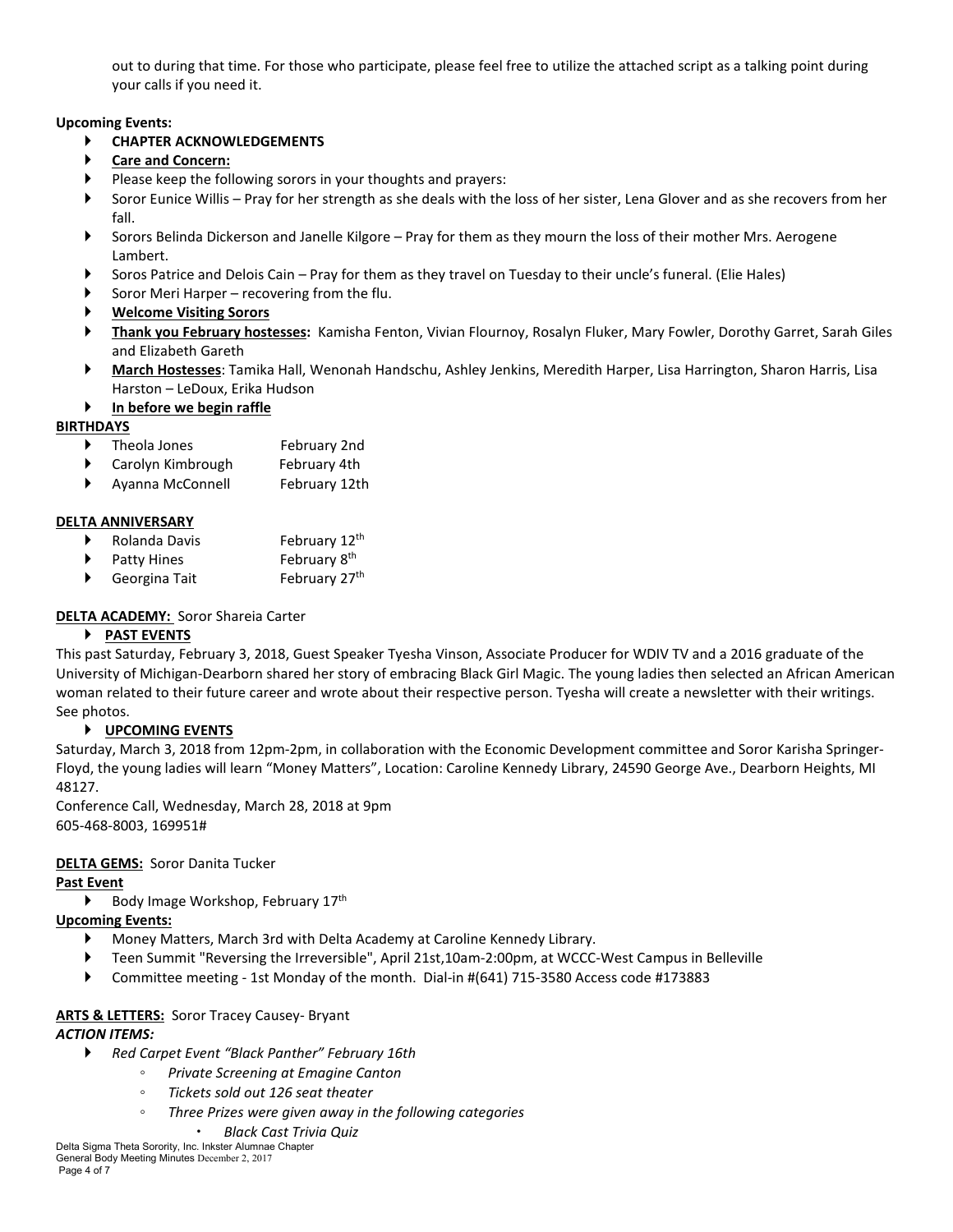out to during that time. For those who participate, please feel free to utilize the attached script as a talking point during your calls if you need it.

### **Upcoming Events:**

# **CHAPTER ACKNOWLEDGEMENTS**

- **Care and Concern:**
- Please keep the following sorors in your thoughts and prayers:
- Soror Eunice Willis Pray for her strength as she deals with the loss of her sister, Lena Glover and as she recovers from her fall.
- Sorors Belinda Dickerson and Janelle Kilgore Pray for them as they mourn the loss of their mother Mrs. Aerogene Lambert.
- Soros Patrice and Delois Cain Pray for them as they travel on Tuesday to their uncle's funeral. (Elie Hales)
- Soror Meri Harper recovering from the flu.
- **Welcome Visiting Sorors**
- **Thank you February hostesses:** Kamisha Fenton, Vivian Flournoy, Rosalyn Fluker, Mary Fowler, Dorothy Garret, Sarah Giles and Elizabeth Gareth
- **March Hostesses**: Tamika Hall, Wenonah Handschu, Ashley Jenkins, Meredith Harper, Lisa Harrington, Sharon Harris, Lisa Harston – LeDoux, Erika Hudson
- **In before we begin raffle**

## **BIRTHDAYS**

- Theola Jones February 2nd
- Carolyn Kimbrough February 4th
- Ayanna McConnell February 12th

# **DELTA ANNIVERSARY**

- ▶ Rolanda Davis February 12<sup>th</sup>
- $\blacktriangleright$  Patty Hines February 8<sup>th</sup>
- ▶ Georgina Tait February 27<sup>th</sup>

# **DELTA ACADEMY:** Soror Shareia Carter

## **PAST EVENTS**

This past Saturday, February 3, 2018, Guest Speaker Tyesha Vinson, Associate Producer for WDIV TV and a 2016 graduate of the University of Michigan-Dearborn shared her story of embracing Black Girl Magic. The young ladies then selected an African American woman related to their future career and wrote about their respective person. Tyesha will create a newsletter with their writings. See photos.

## **UPCOMING EVENTS**

Saturday, March 3, 2018 from 12pm-2pm, in collaboration with the Economic Development committee and Soror Karisha Springer-Floyd, the young ladies will learn "Money Matters", Location: Caroline Kennedy Library, 24590 George Ave., Dearborn Heights, MI 48127.

Conference Call, Wednesday, March 28, 2018 at 9pm 605-468-8003, 169951#

## **DELTA GEMS:** Soror Danita Tucker

## **Past Event**

 $\blacktriangleright$  Body Image Workshop, February 17<sup>th</sup>

## **Upcoming Events:**

- Money Matters, March 3rd with Delta Academy at Caroline Kennedy Library.
- Teen Summit "Reversing the Irreversible", April 21st,10am-2:00pm, at WCCC-West Campus in Belleville
- Committee meeting 1st Monday of the month. Dial-in #(641) 715-3580 Access code #173883

## **ARTS & LETTERS:** Soror Tracey Causey- Bryant

## *ACTION ITEMS:*

- *Red Carpet Event "Black Panther" February 16th*
	- *Private Screening at Emagine Canton*
	- *Tickets sold out 126 seat theater*
	- *Three Prizes were given away in the following categories*
		- *Black Cast Trivia Quiz*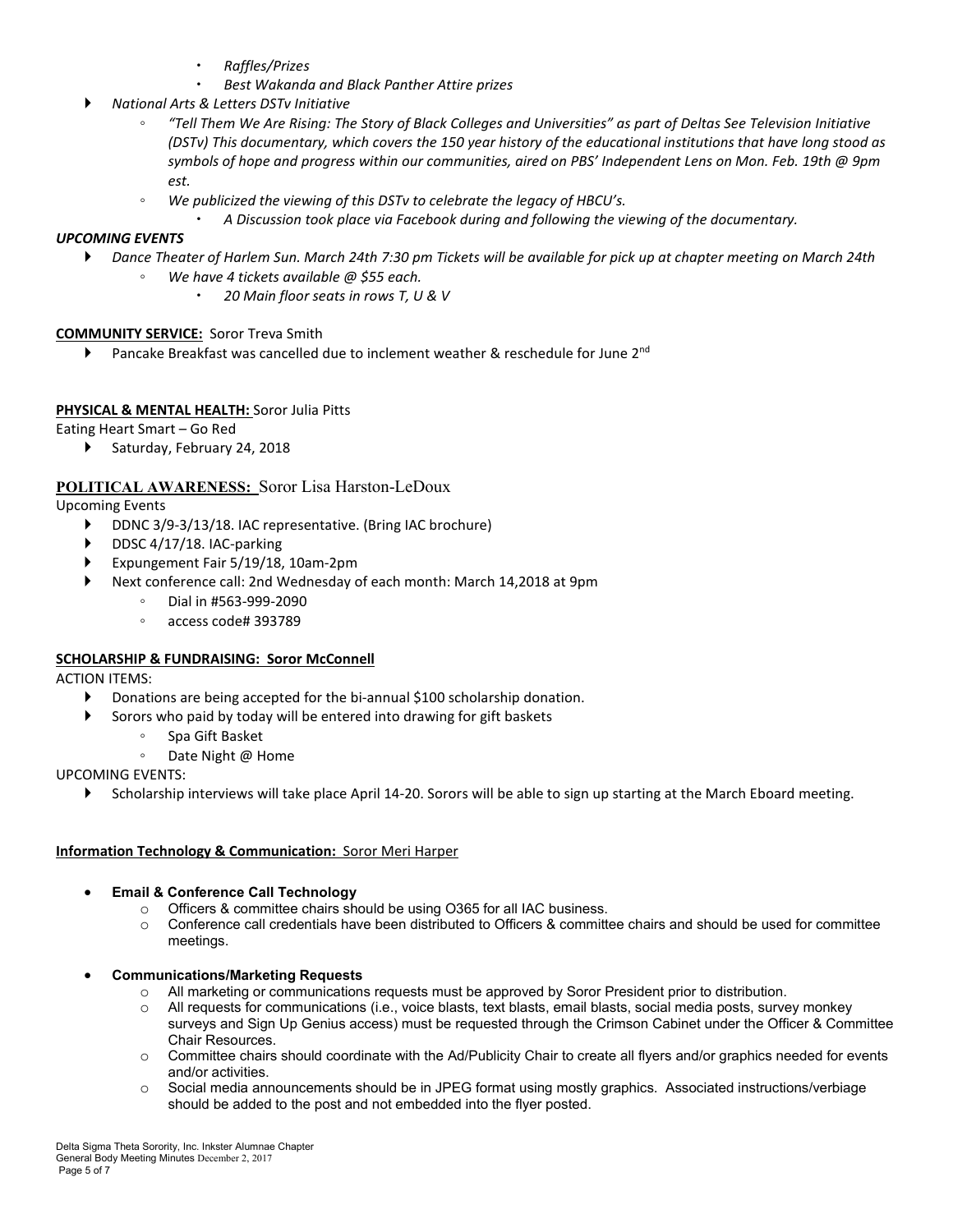- *Raffles/Prizes*
- *Best Wakanda and Black Panther Attire prizes*
- *National Arts & Letters DSTv Initiative*
	- "Tell Them We Are Rising: The Story of Black Colleges and Universities" as part of Deltas See Television Initiative (DSTv) This documentary, which covers the 150 year history of the educational institutions that have long stood as symbols of hope and progress within our communities, aired on PBS' Independent Lens on Mon. Feb. 19th @ 9pm *est.*
	- *We publicized the viewing of this DSTv to celebrate the legacy of HBCU's.*
		- *A Discussion took place via Facebook during and following the viewing of the documentary.*

### *UPCOMING EVENTS*

- ▶ Dance Theater of Harlem Sun. March 24th 7:30 pm Tickets will be available for pick up at chapter meeting on March 24th
	- *We have 4 tickets available @ \$55 each.*
		- *20 Main floor seats in rows T, U & V*

### **COMMUNITY SERVICE:** Soror Treva Smith

**Pancake Breakfast was cancelled due to inclement weather & reschedule for June 2<sup>nd</sup>** 

### **PHYSICAL & MENTAL HEALTH:** Soror Julia Pitts

Eating Heart Smart – Go Red

Saturday, February 24, 2018

## **POLITICAL AWARENESS:** Soror Lisa Harston-LeDoux

Upcoming Events

- ▶ DDNC 3/9-3/13/18. IAC representative. (Bring IAC brochure)
- DDSC 4/17/18. IAC-parking
- Expungement Fair 5/19/18, 10am-2pm
- Next conference call: 2nd Wednesday of each month: March 14,2018 at 9pm
	- Dial in #563-999-2090
	- access code# 393789

### **SCHOLARSHIP & FUNDRAISING: Soror McConnell**

ACTION ITEMS:

- Donations are being accepted for the bi-annual \$100 scholarship donation.
	- Sorors who paid by today will be entered into drawing for gift baskets
		- Spa Gift Basket
		- Date Night @ Home

### UPCOMING EVENTS:

Scholarship interviews will take place April 14-20. Sorors will be able to sign up starting at the March Eboard meeting.

### **Information Technology & Communication:** Soror Meri Harper

### • **Email & Conference Call Technology**

- o Officers & committee chairs should be using O365 for all IAC business.
- $\circ$  Conference call credentials have been distributed to Officers & committee chairs and should be used for committee meetings.
- **Communications/Marketing Requests**
	- o All marketing or communications requests must be approved by Soror President prior to distribution.
	- o All requests for communications (i.e., voice blasts, text blasts, email blasts, social media posts, survey monkey surveys and Sign Up Genius access) must be requested through the Crimson Cabinet under the Officer & Committee Chair Resources.
	- $\circ$  Committee chairs should coordinate with the Ad/Publicity Chair to create all flyers and/or graphics needed for events and/or activities.
	- o Social media announcements should be in JPEG format using mostly graphics. Associated instructions/verbiage should be added to the post and not embedded into the flyer posted.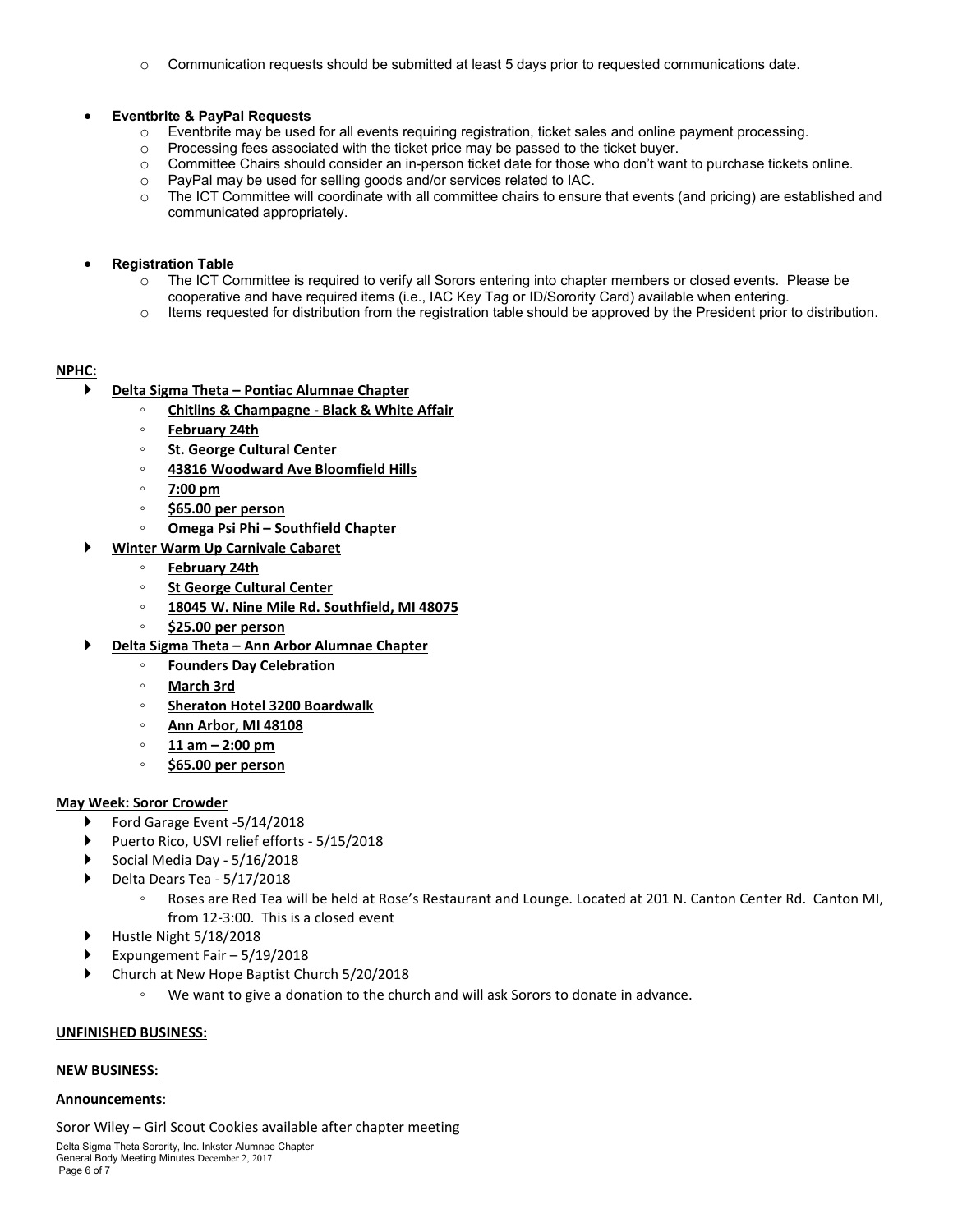$\circ$  Communication requests should be submitted at least 5 days prior to requested communications date.

#### • **Eventbrite & PayPal Requests**

- o Eventbrite may be used for all events requiring registration, ticket sales and online payment processing.<br>Processing fees associated with the ticket price may be passed to the ticket buyer.
- $\circ$  Processing fees associated with the ticket price may be passed to the ticket buyer.<br>Committee Chairs should consider an in-person ticket date for those who don't ware
- $\circ$  Committee Chairs should consider an in-person ticket date for those who don't want to purchase tickets online.<br>  $\circ$  PavPal may be used for selling goods and/or services related to IAC.
- $\circ$  PayPal may be used for selling goods and/or services related to IAC.<br>  $\circ$  The ICT Committee will coordinate with all committee chairs to ensure
- The ICT Committee will coordinate with all committee chairs to ensure that events (and pricing) are established and communicated appropriately.

#### • **Registration Table**

- o The ICT Committee is required to verify all Sorors entering into chapter members or closed events. Please be cooperative and have required items (i.e., IAC Key Tag or ID/Sorority Card) available when entering.
- $\circ$  Items requested for distribution from the registration table should be approved by the President prior to distribution.

## **NPHC:**

- **Delta Sigma Theta – Pontiac Alumnae Chapter**
	- **Chitlins & Champagne - Black & White Affair**
	- **February 24th**
	- **St. George Cultural Center**
	- **43816 Woodward Ave Bloomfield Hills**
	- **7:00 pm**
	- **\$65.00 per person**
	- **Omega Psi Phi – Southfield Chapter**
	- **Winter Warm Up Carnivale Cabaret**
		- **February 24th**
		- **St George Cultural Center**
		- **18045 W. Nine Mile Rd. Southfield, MI 48075**
		- **\$25.00 per person**
- **Delta Sigma Theta – Ann Arbor Alumnae Chapter**
	- **Founders Day Celebration**
	- **March 3rd**
	- **Sheraton Hotel 3200 Boardwalk**
	- **Ann Arbor, MI 48108**
	- **11 am – 2:00 pm**
	- **\$65.00 per person**

### **May Week: Soror Crowder**

- ▶ Ford Garage Event -5/14/2018
- Puerto Rico, USVI relief efforts 5/15/2018
- Social Media Day 5/16/2018
- Delta Dears Tea 5/17/2018
	- Roses are Red Tea will be held at Rose's Restaurant and Lounge. Located at 201 N. Canton Center Rd. Canton MI, from 12-3:00. This is a closed event
- Hustle Night 5/18/2018
- Expungement Fair 5/19/2018
- Church at New Hope Baptist Church 5/20/2018
	- We want to give a donation to the church and will ask Sorors to donate in advance.

#### **UNFINISHED BUSINESS:**

#### **NEW BUSINESS:**

#### **Announcements**:

Soror Wiley – Girl Scout Cookies available after chapter meeting